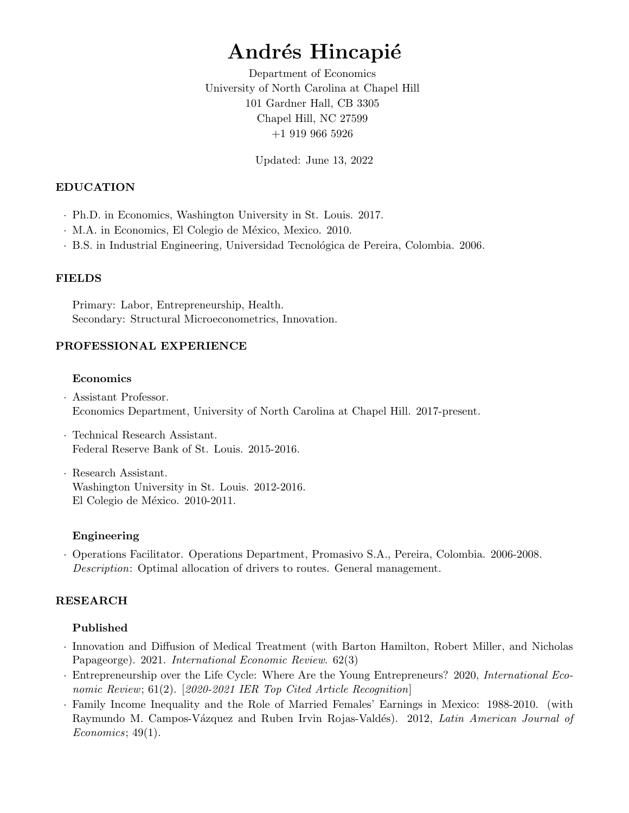# Andrés Hincapié

Department of Economics University of North Carolina at Chapel Hill 101 Gardner Hall, CB 3305 Chapel Hill, NC 27599 +1 919 966 5926

Updated: June 13, 2022

### EDUCATION

- · Ph.D. in Economics, Washington University in St. Louis. 2017.
- · M.A. in Economics, El Colegio de México, Mexico. 2010.
- · B.S. in Industrial Engineering, Universidad Tecnológica de Pereira, Colombia. 2006.

### FIELDS

Primary: Labor, Entrepreneurship, Health. Secondary: Structural Microeconometrics, Innovation.

### PROFESSIONAL EXPERIENCE

### Economics

- · Assistant Professor. Economics Department, University of North Carolina at Chapel Hill. 2017-present.
- · Technical Research Assistant. Federal Reserve Bank of St. Louis. 2015-2016.
- · Research Assistant. Washington University in St. Louis. 2012-2016. El Colegio de México. 2010-2011.

### Engineering

· Operations Facilitator. Operations Department, Promasivo S.A., Pereira, Colombia. 2006-2008. Description: Optimal allocation of drivers to routes. General management.

# RESEARCH

### Published

- · Innovation and Diffusion of Medical Treatment (with Barton Hamilton, Robert Miller, and Nicholas Papageorge). 2021. International Economic Review. 62(3)
- · Entrepreneurship over the Life Cycle: Where Are the Young Entrepreneurs? 2020, International Economic Review; 61(2). [2020-2021 IER Top Cited Article Recognition]
- · Family Income Inequality and the Role of Married Females' Earnings in Mexico: 1988-2010. (with Raymundo M. Campos-Vázquez and Ruben Irvin Rojas-Valdés). 2012, Latin American Journal of Economics; 49(1).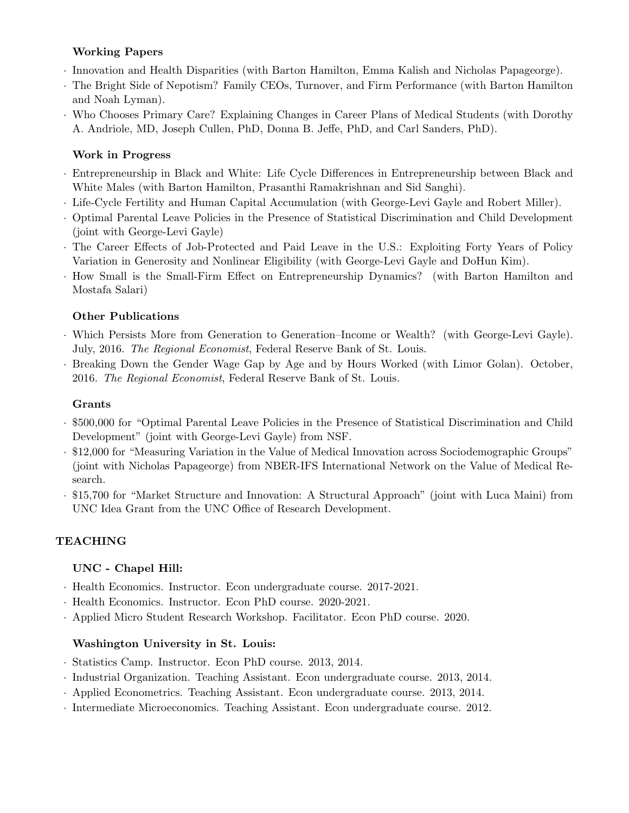# Working Papers

- · Innovation and Health Disparities (with Barton Hamilton, Emma Kalish and Nicholas Papageorge).
- · The Bright Side of Nepotism? Family CEOs, Turnover, and Firm Performance (with Barton Hamilton and Noah Lyman).
- · Who Chooses Primary Care? Explaining Changes in Career Plans of Medical Students (with Dorothy A. Andriole, MD, Joseph Cullen, PhD, Donna B. Jeffe, PhD, and Carl Sanders, PhD).

# Work in Progress

- · Entrepreneurship in Black and White: Life Cycle Differences in Entrepreneurship between Black and White Males (with Barton Hamilton, Prasanthi Ramakrishnan and Sid Sanghi).
- · Life-Cycle Fertility and Human Capital Accumulation (with George-Levi Gayle and Robert Miller).
- · Optimal Parental Leave Policies in the Presence of Statistical Discrimination and Child Development (joint with George-Levi Gayle)
- · The Career Effects of Job-Protected and Paid Leave in the U.S.: Exploiting Forty Years of Policy Variation in Generosity and Nonlinear Eligibility (with George-Levi Gayle and DoHun Kim).
- · How Small is the Small-Firm Effect on Entrepreneurship Dynamics? (with Barton Hamilton and Mostafa Salari)

# Other Publications

- · Which Persists More from Generation to Generation–Income or Wealth? (with George-Levi Gayle). July, 2016. The Regional Economist, Federal Reserve Bank of St. Louis.
- · Breaking Down the Gender Wage Gap by Age and by Hours Worked (with Limor Golan). October, 2016. The Regional Economist, Federal Reserve Bank of St. Louis.

# Grants

- · \$500,000 for "Optimal Parental Leave Policies in the Presence of Statistical Discrimination and Child Development" (joint with George-Levi Gayle) from NSF.
- · \$12,000 for "Measuring Variation in the Value of Medical Innovation across Sociodemographic Groups" (joint with Nicholas Papageorge) from NBER-IFS International Network on the Value of Medical Research.
- · \$15,700 for "Market Structure and Innovation: A Structural Approach" (joint with Luca Maini) from UNC Idea Grant from the UNC Office of Research Development.

# TEACHING

# UNC - Chapel Hill:

- · Health Economics. Instructor. Econ undergraduate course. 2017-2021.
- · Health Economics. Instructor. Econ PhD course. 2020-2021.
- · Applied Micro Student Research Workshop. Facilitator. Econ PhD course. 2020.

# Washington University in St. Louis:

- · Statistics Camp. Instructor. Econ PhD course. 2013, 2014.
- · Industrial Organization. Teaching Assistant. Econ undergraduate course. 2013, 2014.
- · Applied Econometrics. Teaching Assistant. Econ undergraduate course. 2013, 2014.
- · Intermediate Microeconomics. Teaching Assistant. Econ undergraduate course. 2012.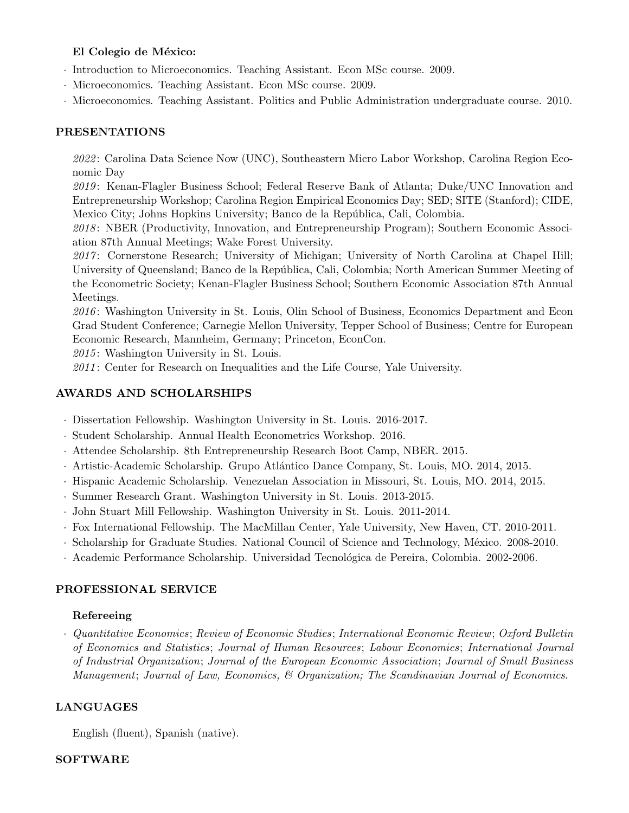### El Colegio de México:

- · Introduction to Microeconomics. Teaching Assistant. Econ MSc course. 2009.
- · Microeconomics. Teaching Assistant. Econ MSc course. 2009.
- · Microeconomics. Teaching Assistant. Politics and Public Administration undergraduate course. 2010.

### PRESENTATIONS

2022 : Carolina Data Science Now (UNC), Southeastern Micro Labor Workshop, Carolina Region Economic Day

2019: Kenan-Flagler Business School; Federal Reserve Bank of Atlanta; Duke/UNC Innovation and Entrepreneurship Workshop; Carolina Region Empirical Economics Day; SED; SITE (Stanford); CIDE, Mexico City; Johns Hopkins University; Banco de la República, Cali, Colombia.

2018: NBER (Productivity, Innovation, and Entrepreneurship Program); Southern Economic Association 87th Annual Meetings; Wake Forest University.

2017: Cornerstone Research; University of Michigan; University of North Carolina at Chapel Hill; University of Queensland; Banco de la República, Cali, Colombia; North American Summer Meeting of the Econometric Society; Kenan-Flagler Business School; Southern Economic Association 87th Annual Meetings.

2016: Washington University in St. Louis, Olin School of Business, Economics Department and Econ Grad Student Conference; Carnegie Mellon University, Tepper School of Business; Centre for European Economic Research, Mannheim, Germany; Princeton, EconCon.

 $2015$ : Washington University in St. Louis.

2011: Center for Research on Inequalities and the Life Course, Yale University.

### AWARDS AND SCHOLARSHIPS

- · Dissertation Fellowship. Washington University in St. Louis. 2016-2017.
- · Student Scholarship. Annual Health Econometrics Workshop. 2016.
- · Attendee Scholarship. 8th Entrepreneurship Research Boot Camp, NBER. 2015.
- · Artistic-Academic Scholarship. Grupo Atlántico Dance Company, St. Louis, MO. 2014, 2015.
- · Hispanic Academic Scholarship. Venezuelan Association in Missouri, St. Louis, MO. 2014, 2015.
- · Summer Research Grant. Washington University in St. Louis. 2013-2015.
- · John Stuart Mill Fellowship. Washington University in St. Louis. 2011-2014.
- · Fox International Fellowship. The MacMillan Center, Yale University, New Haven, CT. 2010-2011.
- · Scholarship for Graduate Studies. National Council of Science and Technology, M´exico. 2008-2010.
- · Academic Performance Scholarship. Universidad Tecnológica de Pereira, Colombia. 2002-2006.

### PROFESSIONAL SERVICE

### Refereeing

· Quantitative Economics; Review of Economic Studies; International Economic Review; Oxford Bulletin of Economics and Statistics; Journal of Human Resources; Labour Economics; International Journal of Industrial Organization; Journal of the European Economic Association; Journal of Small Business Management; Journal of Law, Economics, & Organization; The Scandinavian Journal of Economics.

### LANGUAGES

English (fluent), Spanish (native).

### SOFTWARE